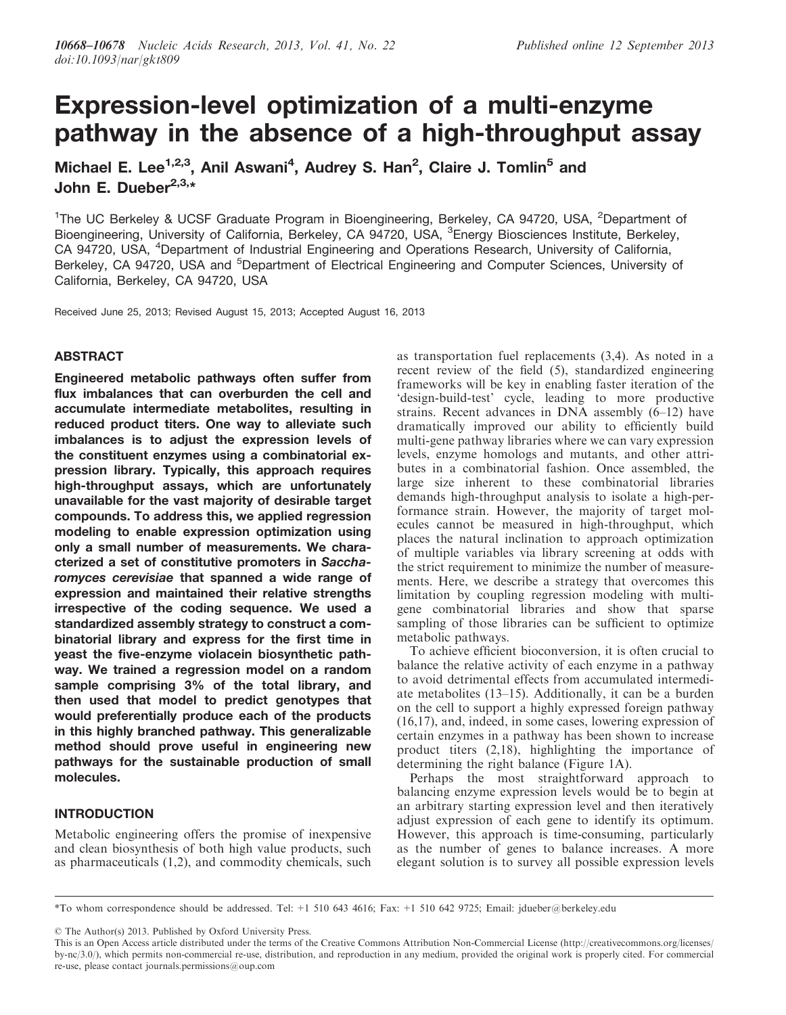# Expression-level optimization of a multi-enzyme pathway in the absence of a high-throughput assay

Michael E. Lee<sup>1,2,3</sup>, Anil Aswani<sup>4</sup>, Audrey S. Han<sup>2</sup>, Claire J. Tomlin<sup>5</sup> and John E. Dueber $^{2,3,*}$ 

<sup>1</sup>The UC Berkeley & UCSF Graduate Program in Bioengineering, Berkeley, CA 94720, USA, <sup>2</sup>Department of Bioengineering, University of California, Berkeley, CA 94720, USA, <sup>3</sup>Energy Biosciences Institute, Berkeley, CA 94720, USA, <sup>4</sup>Department of Industrial Engineering and Operations Research, University of California, Berkeley, CA 94720, USA and <sup>5</sup>Department of Electrical Engineering and Computer Sciences, University of California, Berkeley, CA 94720, USA

Received June 25, 2013; Revised August 15, 2013; Accepted August 16, 2013

# ABSTRACT

Engineered metabolic pathways often suffer from flux imbalances that can overburden the cell and accumulate intermediate metabolites, resulting in reduced product titers. One way to alleviate such imbalances is to adjust the expression levels of the constituent enzymes using a combinatorial expression library. Typically, this approach requires high-throughput assays, which are unfortunately unavailable for the vast majority of desirable target compounds. To address this, we applied regression modeling to enable expression optimization using only a small number of measurements. We characterized a set of constitutive promoters in Saccharomyces cerevisiae that spanned a wide range of expression and maintained their relative strengths irrespective of the coding sequence. We used a standardized assembly strategy to construct a combinatorial library and express for the first time in yeast the five-enzyme violacein biosynthetic pathway. We trained a regression model on a random sample comprising 3% of the total library, and then used that model to predict genotypes that would preferentially produce each of the products in this highly branched pathway. This generalizable method should prove useful in engineering new pathways for the sustainable production of small molecules.

# INTRODUCTION

Metabolic engineering offers the promise of inexpensive and clean biosynthesis of both high value products, such as pharmaceuticals [\(1,2](#page-9-0)), and commodity chemicals, such

as transportation fuel replacements ([3,4](#page-9-0)). As noted in a recent review of the field ([5\)](#page-9-0), standardized engineering frameworks will be key in enabling faster iteration of the 'design-build-test' cycle, leading to more productive strains. Recent advances in DNA assembly ([6–12\)](#page-9-0) have dramatically improved our ability to efficiently build multi-gene pathway libraries where we can vary expression levels, enzyme homologs and mutants, and other attributes in a combinatorial fashion. Once assembled, the large size inherent to these combinatorial libraries demands high-throughput analysis to isolate a high-performance strain. However, the majority of target molecules cannot be measured in high-throughput, which places the natural inclination to approach optimization of multiple variables via library screening at odds with the strict requirement to minimize the number of measurements. Here, we describe a strategy that overcomes this limitation by coupling regression modeling with multigene combinatorial libraries and show that sparse sampling of those libraries can be sufficient to optimize metabolic pathways.

To achieve efficient bioconversion, it is often crucial to balance the relative activity of each enzyme in a pathway to avoid detrimental effects from accumulated intermediate metabolites [\(13–15](#page-9-0)). Additionally, it can be a burden on the cell to support a highly expressed foreign pathway ([16,17](#page-9-0)), and, indeed, in some cases, lowering expression of certain enzymes in a pathway has been shown to increase product titers [\(2](#page-9-0),[18\)](#page-9-0), highlighting the importance of determining the right balance ([Figure 1](#page-1-0)A).

Perhaps the most straightforward approach to balancing enzyme expression levels would be to begin at an arbitrary starting expression level and then iteratively adjust expression of each gene to identify its optimum. However, this approach is time-consuming, particularly as the number of genes to balance increases. A more elegant solution is to survey all possible expression levels

© The Author(s) 2013. Published by Oxford University Press.

<sup>\*</sup>To whom correspondence should be addressed. Tel: +1 510 643 4616; Fax: +1 510 642 9725; Email: jdueber@berkeley.edu

This is an Open Access article distributed under the terms of the Creative Commons Attribution Non-Commercial License (http://creativecommons.org/licenses/ by-nc/3.0/), which permits non-commercial re-use, distribution, and reproduction in any medium, provided the original work is properly cited. For commercial re-use, please contact journals.permissions@oup.com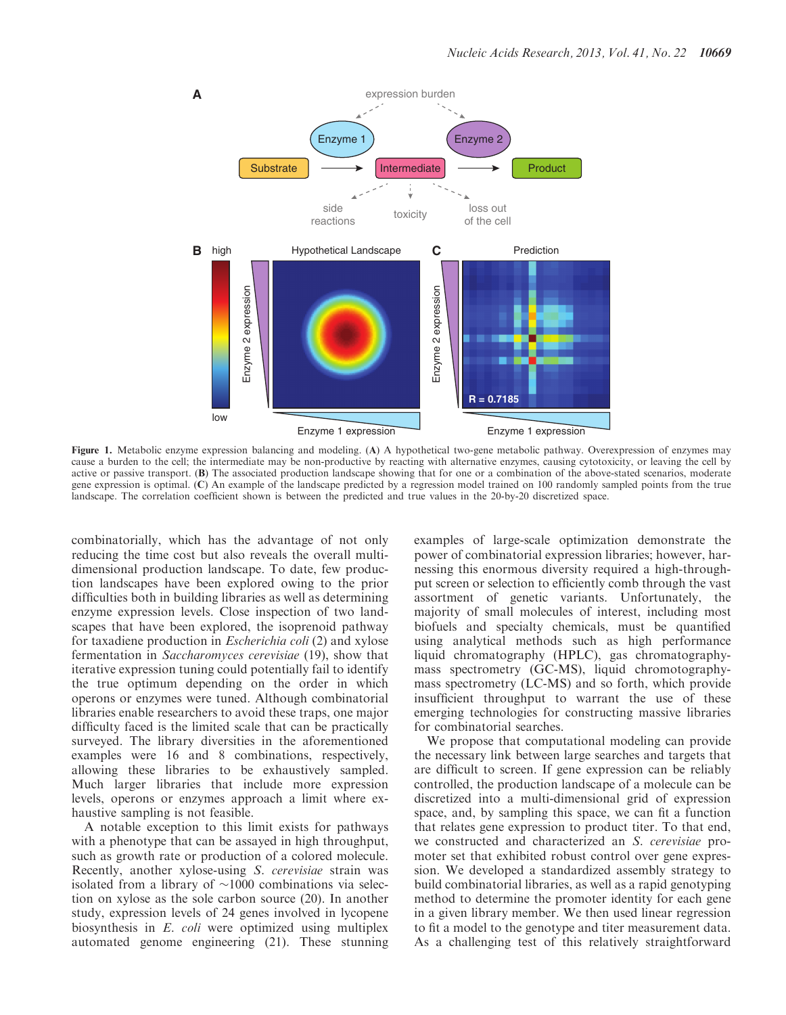<span id="page-1-0"></span>

Figure 1. Metabolic enzyme expression balancing and modeling. (A) A hypothetical two-gene metabolic pathway. Overexpression of enzymes may cause a burden to the cell; the intermediate may be non-productive by reacting with alternative enzymes, causing cytotoxicity, or leaving the cell by active or passive transport. (B) The associated production landscape showing that for one or a combination of the above-stated scenarios, moderate gene expression is optimal. (C) An example of the landscape predicted by a regression model trained on 100 randomly sampled points from the true landscape. The correlation coefficient shown is between the predicted and true values in the 20-by-20 discretized space.

combinatorially, which has the advantage of not only reducing the time cost but also reveals the overall multidimensional production landscape. To date, few production landscapes have been explored owing to the prior difficulties both in building libraries as well as determining enzyme expression levels. Close inspection of two landscapes that have been explored, the isoprenoid pathway for taxadiene production in Escherichia coli ([2\)](#page-9-0) and xylose fermentation in Saccharomyces cerevisiae [\(19](#page-9-0)), show that iterative expression tuning could potentially fail to identify the true optimum depending on the order in which operons or enzymes were tuned. Although combinatorial libraries enable researchers to avoid these traps, one major difficulty faced is the limited scale that can be practically surveyed. The library diversities in the aforementioned examples were 16 and 8 combinations, respectively, allowing these libraries to be exhaustively sampled. Much larger libraries that include more expression levels, operons or enzymes approach a limit where exhaustive sampling is not feasible.

A notable exception to this limit exists for pathways with a phenotype that can be assayed in high throughput, such as growth rate or production of a colored molecule. Recently, another xylose-using S. cerevisiae strain was isolated from a library of  $\sim$ 1000 combinations via selection on xylose as the sole carbon source [\(20](#page-9-0)). In another study, expression levels of 24 genes involved in lycopene biosynthesis in E. coli were optimized using multiplex automated genome engineering ([21\)](#page-9-0). These stunning examples of large-scale optimization demonstrate the power of combinatorial expression libraries; however, harnessing this enormous diversity required a high-throughput screen or selection to efficiently comb through the vast assortment of genetic variants. Unfortunately, the majority of small molecules of interest, including most biofuels and specialty chemicals, must be quantified using analytical methods such as high performance liquid chromatography (HPLC), gas chromatographymass spectrometry (GC-MS), liquid chromotographymass spectrometry (LC-MS) and so forth, which provide insufficient throughput to warrant the use of these emerging technologies for constructing massive libraries for combinatorial searches.

We propose that computational modeling can provide the necessary link between large searches and targets that are difficult to screen. If gene expression can be reliably controlled, the production landscape of a molecule can be discretized into a multi-dimensional grid of expression space, and, by sampling this space, we can fit a function that relates gene expression to product titer. To that end, we constructed and characterized an S. cerevisiae promoter set that exhibited robust control over gene expression. We developed a standardized assembly strategy to build combinatorial libraries, as well as a rapid genotyping method to determine the promoter identity for each gene in a given library member. We then used linear regression to fit a model to the genotype and titer measurement data. As a challenging test of this relatively straightforward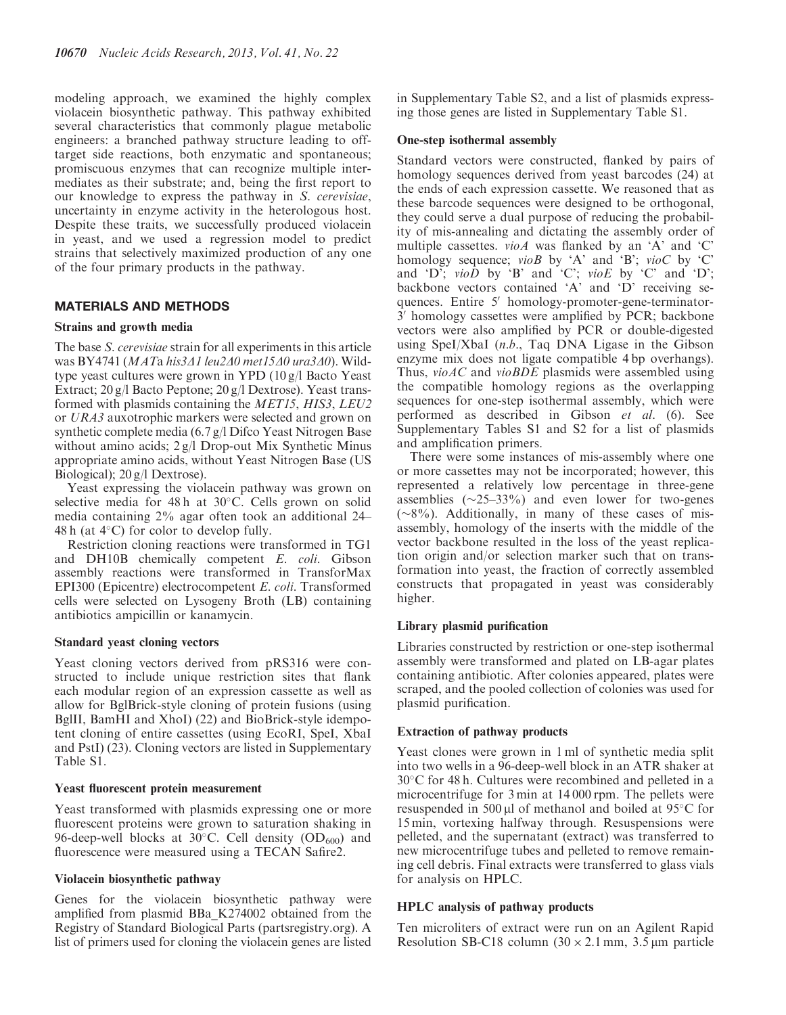modeling approach, we examined the highly complex violacein biosynthetic pathway. This pathway exhibited several characteristics that commonly plague metabolic engineers: a branched pathway structure leading to offtarget side reactions, both enzymatic and spontaneous; promiscuous enzymes that can recognize multiple intermediates as their substrate; and, being the first report to our knowledge to express the pathway in S. cerevisiae, uncertainty in enzyme activity in the heterologous host. Despite these traits, we successfully produced violacein in yeast, and we used a regression model to predict strains that selectively maximized production of any one of the four primary products in the pathway.

# MATERIALS AND METHODS

# Strains and growth media

The base S. cerevisiae strain for all experiments in this article was BY4741 ( $MATa his321 leu220 met1520 ura320$ ). Wildtype yeast cultures were grown in YPD (10 g/l Bacto Yeast Extract; 20 g/l Bacto Peptone; 20 g/l Dextrose). Yeast transformed with plasmids containing the *MET15*, *HIS3*, *LEU2* or URA3 auxotrophic markers were selected and grown on synthetic complete media (6.7 g/l Difco Yeast Nitrogen Base without amino acids; 2 g/l Drop-out Mix Synthetic Minus appropriate amino acids, without Yeast Nitrogen Base (US Biological); 20 g/l Dextrose).

Yeast expressing the violacein pathway was grown on selective media for 48 h at  $30^{\circ}$ C. Cells grown on solid media containing 2% agar often took an additional 24– 48 h (at  $4^{\circ}$ C) for color to develop fully.

Restriction cloning reactions were transformed in TG1 and DH10B chemically competent E. coli. Gibson assembly reactions were transformed in TransforMax EPI300 (Epicentre) electrocompetent E. coli. Transformed cells were selected on Lysogeny Broth (LB) containing antibiotics ampicillin or kanamycin.

# Standard yeast cloning vectors

Yeast cloning vectors derived from pRS316 were constructed to include unique restriction sites that flank each modular region of an expression cassette as well as allow for BglBrick-style cloning of protein fusions (using BglII, BamHI and XhoI) ([22\)](#page-9-0) and BioBrick-style idempotent cloning of entire cassettes (using EcoRI, SpeI, XbaI and PstI) ([23\)](#page-9-0). Cloning vectors are listed in [Supplementary](http://nar.oxfordjournals.org/lookup/suppl/doi:10.1093/nar/gkt809/-/DC1) [Table S1](http://nar.oxfordjournals.org/lookup/suppl/doi:10.1093/nar/gkt809/-/DC1).

# Yeast fluorescent protein measurement

Yeast transformed with plasmids expressing one or more fluorescent proteins were grown to saturation shaking in 96-deep-well blocks at  $30^{\circ}$ C. Cell density (OD<sub>600</sub>) and fluorescence were measured using a TECAN Safire2.

# Violacein biosynthetic pathway

Genes for the violacein biosynthetic pathway were amplified from plasmid BBa\_K274002 obtained from the Registry of Standard Biological Parts (partsregistry.org). A list of primers used for cloning the violacein genes are listed

in [Supplementary Table S2,](http://nar.oxfordjournals.org/lookup/suppl/doi:10.1093/nar/gkt809/-/DC1) and a list of plasmids expressing those genes are listed in [Supplementary Table S1](http://nar.oxfordjournals.org/lookup/suppl/doi:10.1093/nar/gkt809/-/DC1).

# One-step isothermal assembly

Standard vectors were constructed, flanked by pairs of homology sequences derived from yeast barcodes [\(24](#page-9-0)) at the ends of each expression cassette. We reasoned that as these barcode sequences were designed to be orthogonal, they could serve a dual purpose of reducing the probability of mis-annealing and dictating the assembly order of multiple cassettes.  $vioA$  was flanked by an 'A' and 'C' homology sequence; vioB by 'A' and 'B'; vioC by 'C' and 'D'; vioD by 'B' and 'C'; vioE by 'C' and 'D'; backbone vectors contained 'A' and 'D' receiving sequences. Entire 5' homology-promoter-gene-terminator-3<sup>'</sup> homology cassettes were amplified by PCR; backbone vectors were also amplified by PCR or double-digested using SpeI/XbaI (n.b., Taq DNA Ligase in the Gibson enzyme mix does not ligate compatible 4 bp overhangs). Thus,  $vioAC$  and  $vioBDE$  plasmids were assembled using the compatible homology regions as the overlapping sequences for one-step isothermal assembly, which were performed as described in Gibson et al. ([6\)](#page-9-0). See [Supplementary Tables S1](http://nar.oxfordjournals.org/lookup/suppl/doi:10.1093/nar/gkt809/-/DC1) and [S2](http://nar.oxfordjournals.org/lookup/suppl/doi:10.1093/nar/gkt809/-/DC1) for a list of plasmids and amplification primers.

There were some instances of mis-assembly where one or more cassettes may not be incorporated; however, this represented a relatively low percentage in three-gene assemblies  $(\sim 25-33\%)$  and even lower for two-genes  $(\sim 8\%)$ . Additionally, in many of these cases of misassembly, homology of the inserts with the middle of the vector backbone resulted in the loss of the yeast replication origin and/or selection marker such that on transformation into yeast, the fraction of correctly assembled constructs that propagated in yeast was considerably higher.

# Library plasmid purification

Libraries constructed by restriction or one-step isothermal assembly were transformed and plated on LB-agar plates containing antibiotic. After colonies appeared, plates were scraped, and the pooled collection of colonies was used for plasmid purification.

# Extraction of pathway products

Yeast clones were grown in 1 ml of synthetic media split into two wells in a 96-deep-well block in an ATR shaker at  $30^{\circ}$ C for 48 h. Cultures were recombined and pelleted in a microcentrifuge for 3 min at 14 000 rpm. The pellets were resuspended in 500  $\mu$ l of methanol and boiled at 95 $\degree$ C for 15 min, vortexing halfway through. Resuspensions were pelleted, and the supernatant (extract) was transferred to new microcentrifuge tubes and pelleted to remove remaining cell debris. Final extracts were transferred to glass vials for analysis on HPLC.

# HPLC analysis of pathway products

Ten microliters of extract were run on an Agilent Rapid Resolution SB-C18 column  $(30 \times 2.1 \text{ mm}, 3.5 \text{ µm})$  particle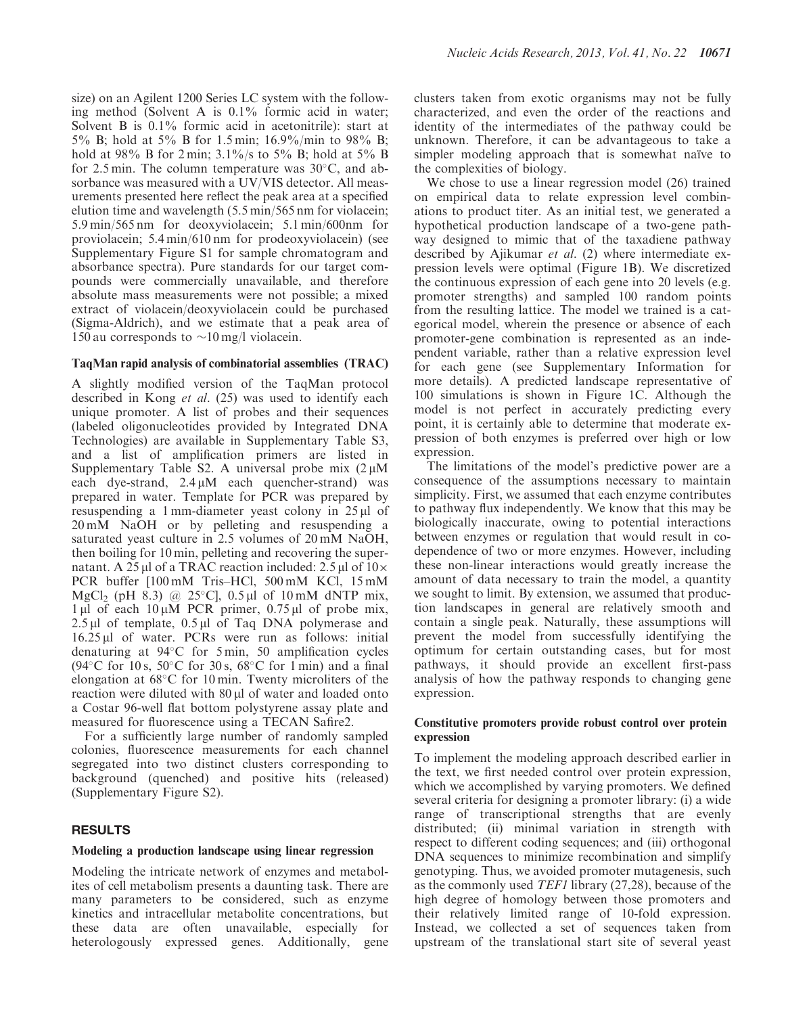size) on an Agilent 1200 Series LC system with the following method (Solvent A is 0.1% formic acid in water; Solvent B is 0.1% formic acid in acetonitrile): start at 5% B; hold at 5% B for 1.5 min; 16.9%/min to 98% B; hold at 98% B for 2 min; 3.1%/s to 5% B; hold at 5% B for 2.5 min. The column temperature was  $30^{\circ}$ C, and absorbance was measured with a UV/VIS detector. All measurements presented here reflect the peak area at a specified elution time and wavelength (5.5 min/565 nm for violacein; 5.9 min/565 nm for deoxyviolacein; 5.1 min/600nm for proviolacein; 5.4 min/610 nm for prodeoxyviolacein) (see [Supplementary Figure S1](http://nar.oxfordjournals.org/lookup/suppl/doi:10.1093/nar/gkt809/-/DC1) for sample chromatogram and absorbance spectra). Pure standards for our target compounds were commercially unavailable, and therefore absolute mass measurements were not possible; a mixed extract of violacein/deoxyviolacein could be purchased (Sigma-Aldrich), and we estimate that a peak area of 150 au corresponds to  $\sim$ 10 mg/l violacein.

# TaqMan rapid analysis of combinatorial assemblies (TRAC)

A slightly modified version of the TaqMan protocol described in Kong et al. ([25\)](#page-9-0) was used to identify each unique promoter. A list of probes and their sequences (labeled oligonucleotides provided by Integrated DNA Technologies) are available in [Supplementary Table S3](http://nar.oxfordjournals.org/lookup/suppl/doi:10.1093/nar/gkt809/-/DC1), and a list of amplification primers are listed in [Supplementary Table S2](http://nar.oxfordjournals.org/lookup/suppl/doi:10.1093/nar/gkt809/-/DC1). A universal probe mix  $(2 \mu M)$ each dye-strand,  $2.4 \mu M$  each quencher-strand) was prepared in water. Template for PCR was prepared by resuspending a 1 mm-diameter yeast colony in  $25 \mu$  of 20 mM NaOH or by pelleting and resuspending a saturated yeast culture in 2.5 volumes of 20 mM NaOH, then boiling for 10 min, pelleting and recovering the supernatant. A 25 µl of a TRAC reaction included: 2.5 µl of  $10 \times$ PCR buffer [100 mM Tris–HCl, 500 mM KCl, 15 mM MgCl<sub>2</sub> (pH 8.3) @ 25°C], 0.5 µl of 10 mM dNTP mix,  $1 \mu l$  of each  $10 \mu M$  PCR primer,  $0.75 \mu l$  of probe mix,  $2.5 \mu$ l of template,  $0.5 \mu$ l of Taq DNA polymerase and  $16.25 \mu l$  of water. PCRs were run as follows: initial denaturing at  $94^{\circ}$ C for 5 min, 50 amplification cycles (94 $\degree$ C for 10 s, 50 $\degree$ C for 30 s, 68 $\degree$ C for 1 min) and a final elongation at  $68^{\circ}$ C for 10 min. Twenty microliters of the reaction were diluted with  $80 \mu$  of water and loaded onto a Costar 96-well flat bottom polystyrene assay plate and measured for fluorescence using a TECAN Safire2.

For a sufficiently large number of randomly sampled colonies, fluorescence measurements for each channel segregated into two distinct clusters corresponding to background (quenched) and positive hits (released) [\(Supplementary Figure S2](http://nar.oxfordjournals.org/lookup/suppl/doi:10.1093/nar/gkt809/-/DC1)).

# RESULTS

# Modeling a production landscape using linear regression

Modeling the intricate network of enzymes and metabolites of cell metabolism presents a daunting task. There are many parameters to be considered, such as enzyme kinetics and intracellular metabolite concentrations, but these data are often unavailable, especially for heterologously expressed genes. Additionally, gene clusters taken from exotic organisms may not be fully characterized, and even the order of the reactions and identity of the intermediates of the pathway could be unknown. Therefore, it can be advantageous to take a simpler modeling approach that is somewhat naïve to the complexities of biology.

We chose to use a linear regression model ([26\)](#page-9-0) trained on empirical data to relate expression level combinations to product titer. As an initial test, we generated a hypothetical production landscape of a two-gene pathway designed to mimic that of the taxadiene pathway described by Ajikumar et al. [\(2](#page-9-0)) where intermediate expression levels were optimal ([Figure 1](#page-1-0)B). We discretized the continuous expression of each gene into 20 levels (e.g. promoter strengths) and sampled 100 random points from the resulting lattice. The model we trained is a categorical model, wherein the presence or absence of each promoter-gene combination is represented as an independent variable, rather than a relative expression level for each gene (see [Supplementary Information](http://nar.oxfordjournals.org/lookup/suppl/doi:10.1093/nar/gkt809/-/DC1) for more details). A predicted landscape representative of 100 simulations is shown in [Figure 1](#page-1-0)C. Although the model is not perfect in accurately predicting every point, it is certainly able to determine that moderate expression of both enzymes is preferred over high or low expression.

The limitations of the model's predictive power are a consequence of the assumptions necessary to maintain simplicity. First, we assumed that each enzyme contributes to pathway flux independently. We know that this may be biologically inaccurate, owing to potential interactions between enzymes or regulation that would result in codependence of two or more enzymes. However, including these non-linear interactions would greatly increase the amount of data necessary to train the model, a quantity we sought to limit. By extension, we assumed that production landscapes in general are relatively smooth and contain a single peak. Naturally, these assumptions will prevent the model from successfully identifying the optimum for certain outstanding cases, but for most pathways, it should provide an excellent first-pass analysis of how the pathway responds to changing gene expression.

# Constitutive promoters provide robust control over protein expression

To implement the modeling approach described earlier in the text, we first needed control over protein expression, which we accomplished by varying promoters. We defined several criteria for designing a promoter library: (i) a wide range of transcriptional strengths that are evenly distributed; (ii) minimal variation in strength with respect to different coding sequences; and (iii) orthogonal DNA sequences to minimize recombination and simplify genotyping. Thus, we avoided promoter mutagenesis, such as the commonly used TEF1 library [\(27](#page-9-0),[28\)](#page-9-0), because of the high degree of homology between those promoters and their relatively limited range of 10-fold expression. Instead, we collected a set of sequences taken from upstream of the translational start site of several yeast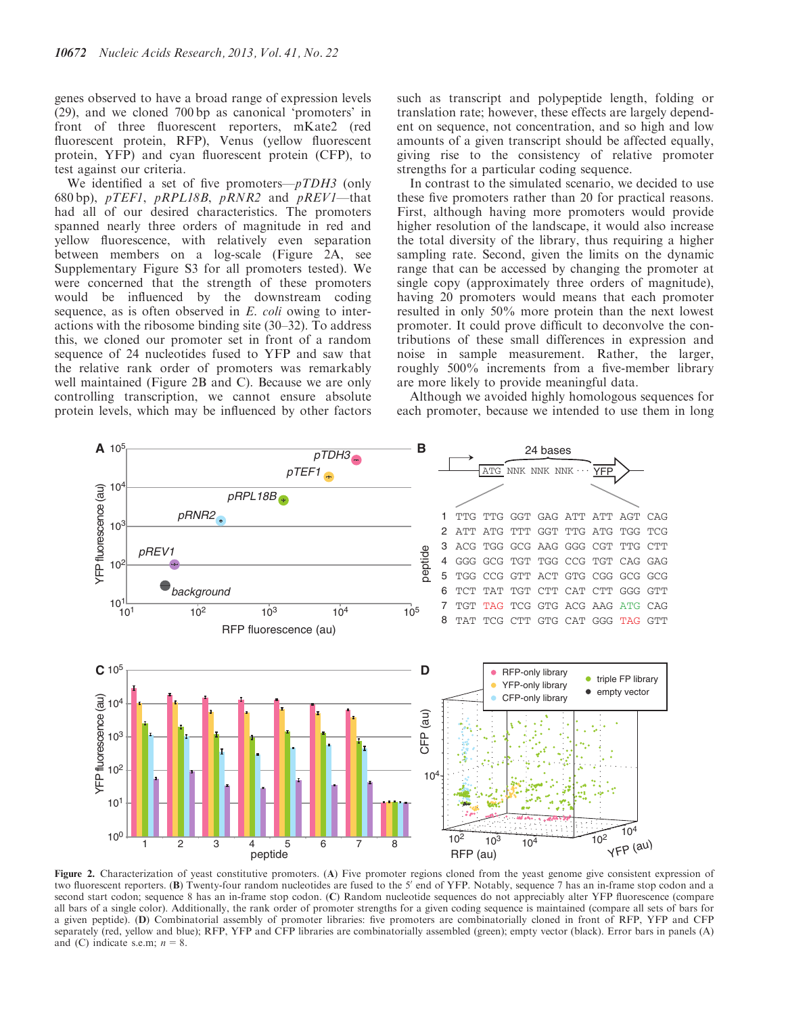<span id="page-4-0"></span>genes observed to have a broad range of expression levels ([29\)](#page-9-0), and we cloned 700 bp as canonical 'promoters' in front of three fluorescent reporters, mKate2 (red fluorescent protein, RFP), Venus (yellow fluorescent protein, YFP) and cyan fluorescent protein (CFP), to test against our criteria.

We identified a set of five promoters— $pTDH3$  (only 680 bp),  $pTEFI$ ,  $pRPL18B$ ,  $pRNR2$  and  $pREVI$ —that had all of our desired characteristics. The promoters spanned nearly three orders of magnitude in red and yellow fluorescence, with relatively even separation between members on a log-scale (Figure 2A, see [Supplementary Figure S3](http://nar.oxfordjournals.org/lookup/suppl/doi:10.1093/nar/gkt809/-/DC1) for all promoters tested). We were concerned that the strength of these promoters would be influenced by the downstream coding sequence, as is often observed in E. coli owing to interactions with the ribosome binding site [\(30–32](#page-9-0)). To address this, we cloned our promoter set in front of a random sequence of 24 nucleotides fused to YFP and saw that the relative rank order of promoters was remarkably well maintained (Figure 2B and C). Because we are only controlling transcription, we cannot ensure absolute protein levels, which may be influenced by other factors

such as transcript and polypeptide length, folding or translation rate; however, these effects are largely dependent on sequence, not concentration, and so high and low amounts of a given transcript should be affected equally, giving rise to the consistency of relative promoter strengths for a particular coding sequence.

In contrast to the simulated scenario, we decided to use these five promoters rather than 20 for practical reasons. First, although having more promoters would provide higher resolution of the landscape, it would also increase the total diversity of the library, thus requiring a higher sampling rate. Second, given the limits on the dynamic range that can be accessed by changing the promoter at single copy (approximately three orders of magnitude), having 20 promoters would means that each promoter resulted in only 50% more protein than the next lowest promoter. It could prove difficult to deconvolve the contributions of these small differences in expression and noise in sample measurement. Rather, the larger, roughly 500% increments from a five-member library are more likely to provide meaningful data.

Although we avoided highly homologous sequences for each promoter, because we intended to use them in long



Figure 2. Characterization of yeast constitutive promoters. (A) Five promoter regions cloned from the yeast genome give consistent expression of two fluorescent reporters. (B) Twenty-four random nucleotides are fused to the 5' end of YFP. Notably, sequence 7 has an in-frame stop codon and a second start codon; sequence 8 has an in-frame stop codon. (C) Random nucleotide sequences do not appreciably alter YFP fluorescence (compare all bars of a single color). Additionally, the rank order of promoter strengths for a given coding sequence is maintained (compare all sets of bars for a given peptide). (D) Combinatorial assembly of promoter libraries: five promoters are combinatorially cloned in front of RFP, YFP and CFP separately (red, yellow and blue); RFP, YFP and CFP libraries are combinatorially assembled (green); empty vector (black). Error bars in panels (A) and (C) indicate s.e.m;  $n = 8$ .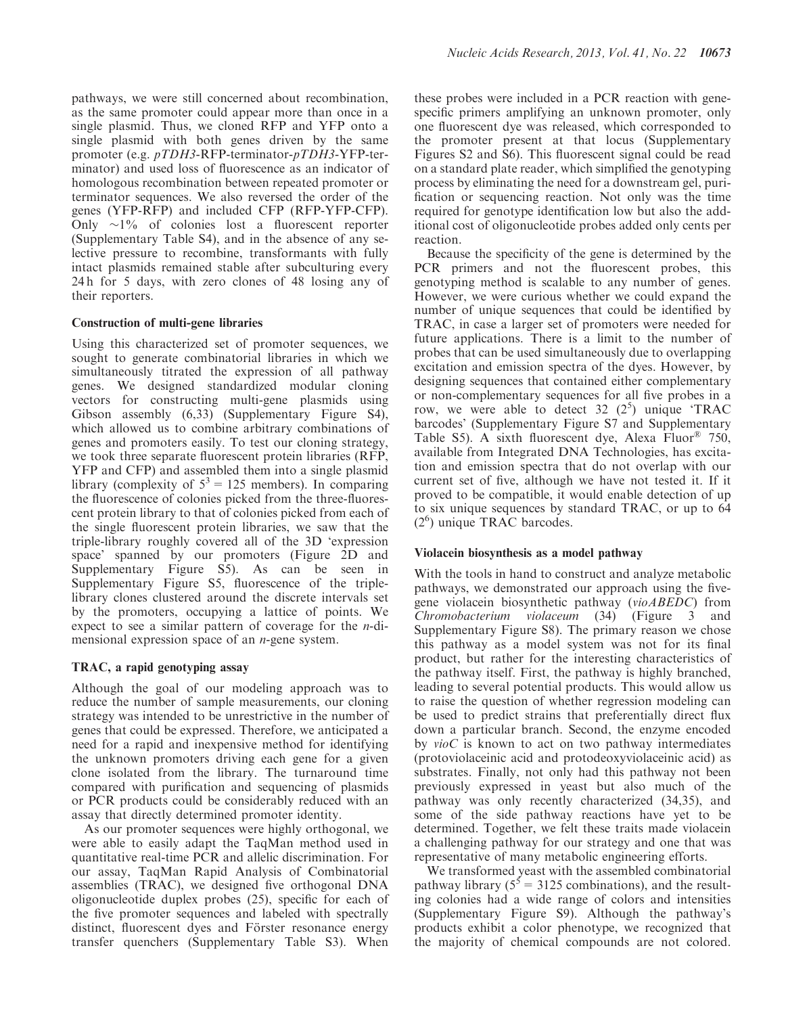pathways, we were still concerned about recombination, as the same promoter could appear more than once in a single plasmid. Thus, we cloned RFP and YFP onto a single plasmid with both genes driven by the same promoter (e.g. pTDH3-RFP-terminator-pTDH3-YFP-terminator) and used loss of fluorescence as an indicator of homologous recombination between repeated promoter or terminator sequences. We also reversed the order of the genes (YFP-RFP) and included CFP (RFP-YFP-CFP). Only  $\sim$ 1% of colonies lost a fluorescent reporter [\(Supplementary Table S4](http://nar.oxfordjournals.org/lookup/suppl/doi:10.1093/nar/gkt809/-/DC1)), and in the absence of any selective pressure to recombine, transformants with fully intact plasmids remained stable after subculturing every 24 h for 5 days, with zero clones of 48 losing any of their reporters.

# Construction of multi-gene libraries

Using this characterized set of promoter sequences, we sought to generate combinatorial libraries in which we simultaneously titrated the expression of all pathway genes. We designed standardized modular cloning vectors for constructing multi-gene plasmids using Gibson assembly [\(6](#page-9-0),[33\)](#page-10-0) ([Supplementary Figure S4\)](http://nar.oxfordjournals.org/lookup/suppl/doi:10.1093/nar/gkt809/-/DC1), which allowed us to combine arbitrary combinations of genes and promoters easily. To test our cloning strategy, we took three separate fluorescent protein libraries (RFP, YFP and CFP) and assembled them into a single plasmid library (complexity of  $5^3 = 125$  members). In comparing the fluorescence of colonies picked from the three-fluorescent protein library to that of colonies picked from each of the single fluorescent protein libraries, we saw that the triple-library roughly covered all of the 3D 'expression space' spanned by our promoters ([Figure 2D](#page-4-0) and [Supplementary Figure S5](http://nar.oxfordjournals.org/lookup/suppl/doi:10.1093/nar/gkt809/-/DC1)). As can be seen in [Supplementary Figure S5,](http://nar.oxfordjournals.org/lookup/suppl/doi:10.1093/nar/gkt809/-/DC1) fluorescence of the triplelibrary clones clustered around the discrete intervals set by the promoters, occupying a lattice of points. We expect to see a similar pattern of coverage for the n-dimensional expression space of an n-gene system.

# TRAC, a rapid genotyping assay

Although the goal of our modeling approach was to reduce the number of sample measurements, our cloning strategy was intended to be unrestrictive in the number of genes that could be expressed. Therefore, we anticipated a need for a rapid and inexpensive method for identifying the unknown promoters driving each gene for a given clone isolated from the library. The turnaround time compared with purification and sequencing of plasmids or PCR products could be considerably reduced with an assay that directly determined promoter identity.

As our promoter sequences were highly orthogonal, we were able to easily adapt the TaqMan method used in quantitative real-time PCR and allelic discrimination. For our assay, TaqMan Rapid Analysis of Combinatorial assemblies (TRAC), we designed five orthogonal DNA oligonucleotide duplex probes [\(25](#page-9-0)), specific for each of the five promoter sequences and labeled with spectrally distinct, fluorescent dyes and Förster resonance energy transfer quenchers ([Supplementary Table S3](http://nar.oxfordjournals.org/lookup/suppl/doi:10.1093/nar/gkt809/-/DC1)). When these probes were included in a PCR reaction with genespecific primers amplifying an unknown promoter, only one fluorescent dye was released, which corresponded to the promoter present at that locus ([Supplementary](http://nar.oxfordjournals.org/lookup/suppl/doi:10.1093/nar/gkt809/-/DC1) [Figures S2](http://nar.oxfordjournals.org/lookup/suppl/doi:10.1093/nar/gkt809/-/DC1) and [S6\)](http://nar.oxfordjournals.org/lookup/suppl/doi:10.1093/nar/gkt809/-/DC1). This fluorescent signal could be read on a standard plate reader, which simplified the genotyping process by eliminating the need for a downstream gel, purification or sequencing reaction. Not only was the time required for genotype identification low but also the additional cost of oligonucleotide probes added only cents per reaction.

Because the specificity of the gene is determined by the PCR primers and not the fluorescent probes, this genotyping method is scalable to any number of genes. However, we were curious whether we could expand the number of unique sequences that could be identified by TRAC, in case a larger set of promoters were needed for future applications. There is a limit to the number of probes that can be used simultaneously due to overlapping excitation and emission spectra of the dyes. However, by designing sequences that contained either complementary or non-complementary sequences for all five probes in a row, we were able to detect 32  $(2^5)$  unique 'TRAC barcodes' ([Supplementary Figure S7](http://nar.oxfordjournals.org/lookup/suppl/doi:10.1093/nar/gkt809/-/DC1) and [Supplementary](http://nar.oxfordjournals.org/lookup/suppl/doi:10.1093/nar/gkt809/-/DC1) [Table S5\)](http://nar.oxfordjournals.org/lookup/suppl/doi:10.1093/nar/gkt809/-/DC1). A sixth fluorescent dye, Alexa Fluor<sup>®</sup> 750, available from Integrated DNA Technologies, has excitation and emission spectra that do not overlap with our current set of five, although we have not tested it. If it proved to be compatible, it would enable detection of up to six unique sequences by standard TRAC, or up to 64 (2<sup>6</sup>) unique TRAC barcodes.

# Violacein biosynthesis as a model pathway

With the tools in hand to construct and analyze metabolic pathways, we demonstrated our approach using the fivegene violacein biosynthetic pathway (vioABEDC) from Chromobacterium violaceum ([34\)](#page-10-0) ([Figure 3](#page-6-0) and [Supplementary Figure S8\)](http://nar.oxfordjournals.org/lookup/suppl/doi:10.1093/nar/gkt809/-/DC1). The primary reason we chose this pathway as a model system was not for its final product, but rather for the interesting characteristics of the pathway itself. First, the pathway is highly branched, leading to several potential products. This would allow us to raise the question of whether regression modeling can be used to predict strains that preferentially direct flux down a particular branch. Second, the enzyme encoded by  $vioC$  is known to act on two pathway intermediates (protoviolaceinic acid and protodeoxyviolaceinic acid) as substrates. Finally, not only had this pathway not been previously expressed in yeast but also much of the pathway was only recently characterized ([34,35](#page-10-0)), and some of the side pathway reactions have yet to be determined. Together, we felt these traits made violacein a challenging pathway for our strategy and one that was representative of many metabolic engineering efforts.

We transformed yeast with the assembled combinatorial pathway library ( $5^5$  = 3125 combinations), and the resulting colonies had a wide range of colors and intensities [\(Supplementary Figure S9](http://nar.oxfordjournals.org/lookup/suppl/doi:10.1093/nar/gkt809/-/DC1)). Although the pathway's products exhibit a color phenotype, we recognized that the majority of chemical compounds are not colored.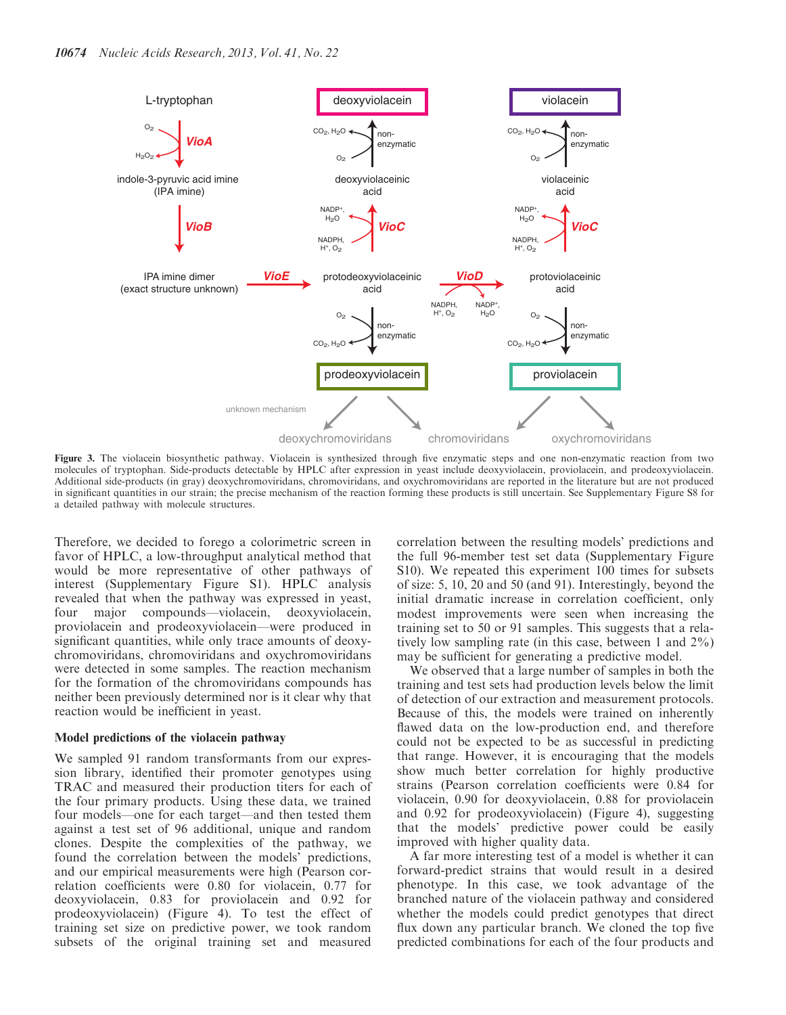<span id="page-6-0"></span>

Figure 3. The violacein biosynthetic pathway. Violacein is synthesized through five enzymatic steps and one non-enzymatic reaction from two molecules of tryptophan. Side-products detectable by HPLC after expression in yeast include deoxyviolacein, proviolacein, and prodeoxyviolacein. Additional side-products (in gray) deoxychromoviridans, chromoviridans, and oxychromoviridans are reported in the literature but are not produced in significant quantities in our strain; the precise mechanism of the reaction forming these products is still uncertain. See [Supplementary Figure S8](http://nar.oxfordjournals.org/lookup/suppl/doi:10.1093/nar/gkt809/-/DC1) for a detailed pathway with molecule structures.

Therefore, we decided to forego a colorimetric screen in favor of HPLC, a low-throughput analytical method that would be more representative of other pathways of interest [\(Supplementary Figure S1](http://nar.oxfordjournals.org/lookup/suppl/doi:10.1093/nar/gkt809/-/DC1)). HPLC analysis revealed that when the pathway was expressed in yeast, four major compounds—violacein, deoxyviolacein, proviolacein and prodeoxyviolacein—were produced in significant quantities, while only trace amounts of deoxychromoviridans, chromoviridans and oxychromoviridans were detected in some samples. The reaction mechanism for the formation of the chromoviridans compounds has neither been previously determined nor is it clear why that reaction would be inefficient in yeast.

#### Model predictions of the violacein pathway

We sampled 91 random transformants from our expression library, identified their promoter genotypes using TRAC and measured their production titers for each of the four primary products. Using these data, we trained four models—one for each target—and then tested them against a test set of 96 additional, unique and random clones. Despite the complexities of the pathway, we found the correlation between the models' predictions, and our empirical measurements were high (Pearson correlation coefficients were 0.80 for violacein, 0.77 for deoxyviolacein, 0.83 for proviolacein and 0.92 for prodeoxyviolacein) [\(Figure 4\)](#page-7-0). To test the effect of training set size on predictive power, we took random subsets of the original training set and measured

correlation between the resulting models' predictions and the full 96-member test set data ([Supplementary Figure](http://nar.oxfordjournals.org/lookup/suppl/doi:10.1093/nar/gkt809/-/DC1) [S10\)](http://nar.oxfordjournals.org/lookup/suppl/doi:10.1093/nar/gkt809/-/DC1). We repeated this experiment 100 times for subsets of size: 5, 10, 20 and 50 (and 91). Interestingly, beyond the initial dramatic increase in correlation coefficient, only modest improvements were seen when increasing the training set to 50 or 91 samples. This suggests that a relatively low sampling rate (in this case, between 1 and 2%) may be sufficient for generating a predictive model.

We observed that a large number of samples in both the training and test sets had production levels below the limit of detection of our extraction and measurement protocols. Because of this, the models were trained on inherently flawed data on the low-production end, and therefore could not be expected to be as successful in predicting that range. However, it is encouraging that the models show much better correlation for highly productive strains (Pearson correlation coefficients were 0.84 for violacein, 0.90 for deoxyviolacein, 0.88 for proviolacein and 0.92 for prodeoxyviolacein) [\(Figure 4\)](#page-7-0), suggesting that the models' predictive power could be easily improved with higher quality data.

A far more interesting test of a model is whether it can forward-predict strains that would result in a desired phenotype. In this case, we took advantage of the branched nature of the violacein pathway and considered whether the models could predict genotypes that direct flux down any particular branch. We cloned the top five predicted combinations for each of the four products and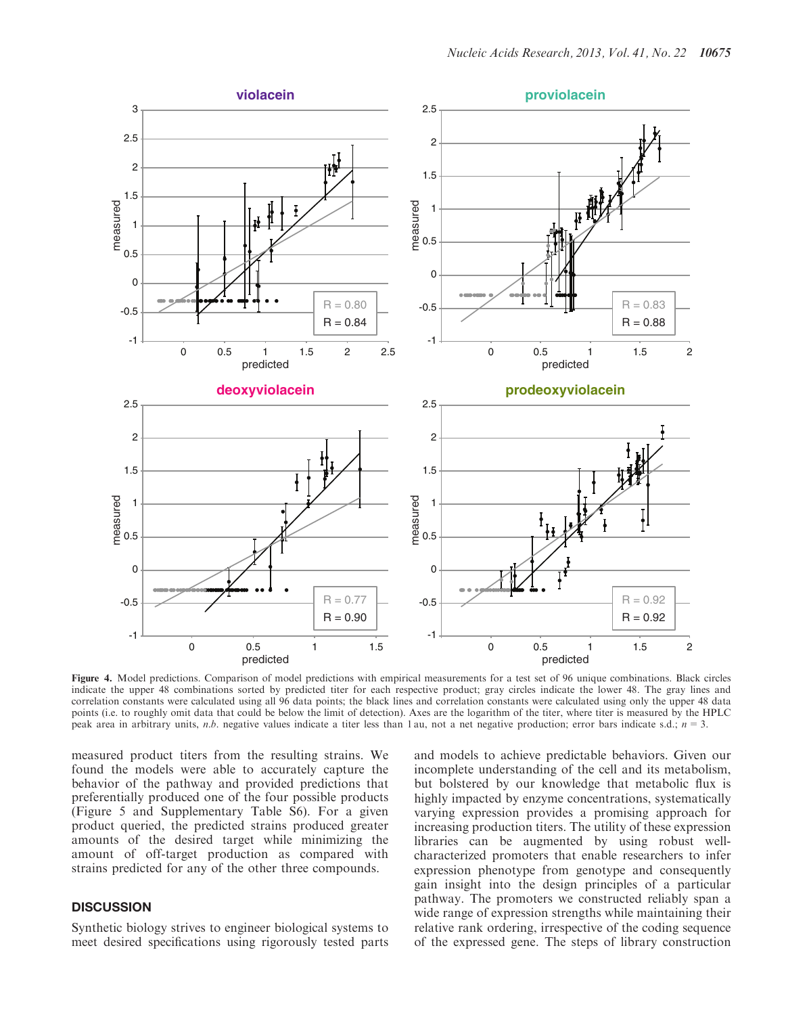<span id="page-7-0"></span>

Figure 4. Model predictions. Comparison of model predictions with empirical measurements for a test set of 96 unique combinations. Black circles indicate the upper 48 combinations sorted by predicted titer for each respective product; gray circles indicate the lower 48. The gray lines and correlation constants were calculated using all 96 data points; the black lines and correlation constants were calculated using only the upper 48 data points (i.e. to roughly omit data that could be below the limit of detection). Axes are the logarithm of the titer, where titer is measured by the HPLC peak area in arbitrary units, *n.b.* negative values indicate a titer less than 1 au, not a net negative production; error bars indicate s.d.;  $n = 3$ .

measured product titers from the resulting strains. We found the models were able to accurately capture the behavior of the pathway and provided predictions that preferentially produced one of the four possible products [\(Figure 5](#page-8-0) and [Supplementary Table S6\)](http://nar.oxfordjournals.org/lookup/suppl/doi:10.1093/nar/gkt809/-/DC1). For a given product queried, the predicted strains produced greater amounts of the desired target while minimizing the amount of off-target production as compared with strains predicted for any of the other three compounds.

# **DISCUSSION**

Synthetic biology strives to engineer biological systems to meet desired specifications using rigorously tested parts and models to achieve predictable behaviors. Given our incomplete understanding of the cell and its metabolism, but bolstered by our knowledge that metabolic flux is highly impacted by enzyme concentrations, systematically varying expression provides a promising approach for increasing production titers. The utility of these expression libraries can be augmented by using robust wellcharacterized promoters that enable researchers to infer expression phenotype from genotype and consequently gain insight into the design principles of a particular pathway. The promoters we constructed reliably span a wide range of expression strengths while maintaining their relative rank ordering, irrespective of the coding sequence of the expressed gene. The steps of library construction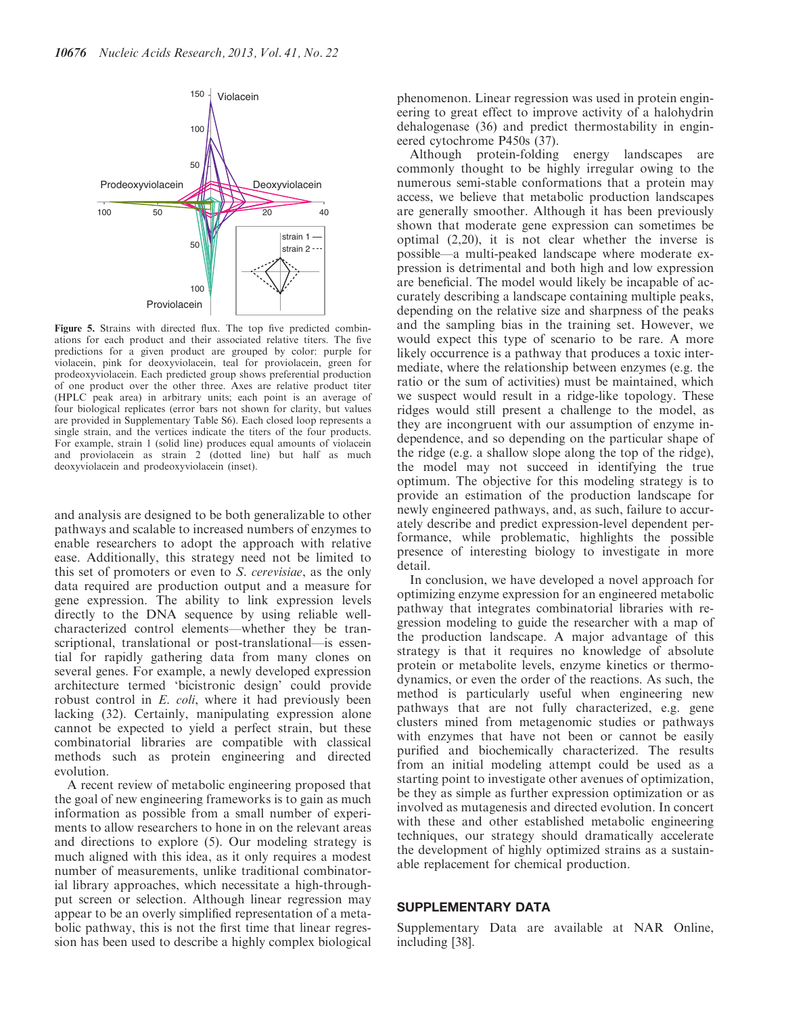Figure 5. Strains with directed flux. The top five predicted combinations for each product and their associated relative titers. The five predictions for a given product are grouped by color: purple for violacein, pink for deoxyviolacein, teal for proviolacein, green for prodeoxyviolacein. Each predicted group shows preferential production of one product over the other three. Axes are relative product titer (HPLC peak area) in arbitrary units; each point is an average of four biological replicates (error bars not shown for clarity, but values are provided in [Supplementary Table S6\)](http://nar.oxfordjournals.org/lookup/suppl/doi:10.1093/nar/gkt809/-/DC1). Each closed loop represents a single strain, and the vertices indicate the titers of the four products. For example, strain 1 (solid line) produces equal amounts of violacein and proviolacein as strain 2 (dotted line) but half as much deoxyviolacein and prodeoxyviolacein (inset).

and analysis are designed to be both generalizable to other pathways and scalable to increased numbers of enzymes to enable researchers to adopt the approach with relative ease. Additionally, this strategy need not be limited to this set of promoters or even to S. cerevisiae, as the only data required are production output and a measure for gene expression. The ability to link expression levels directly to the DNA sequence by using reliable wellcharacterized control elements—whether they be transcriptional, translational or post-translational—is essential for rapidly gathering data from many clones on several genes. For example, a newly developed expression architecture termed 'bicistronic design' could provide robust control in E. *coli*, where it had previously been lacking ([32\)](#page-10-0). Certainly, manipulating expression alone cannot be expected to yield a perfect strain, but these combinatorial libraries are compatible with classical methods such as protein engineering and directed evolution.

A recent review of metabolic engineering proposed that the goal of new engineering frameworks is to gain as much information as possible from a small number of experiments to allow researchers to hone in on the relevant areas and directions to explore ([5\)](#page-9-0). Our modeling strategy is much aligned with this idea, as it only requires a modest number of measurements, unlike traditional combinatorial library approaches, which necessitate a high-throughput screen or selection. Although linear regression may appear to be an overly simplified representation of a metabolic pathway, this is not the first time that linear regression has been used to describe a highly complex biological

phenomenon. Linear regression was used in protein engineering to great effect to improve activity of a halohydrin dehalogenase [\(36](#page-10-0)) and predict thermostability in engineered cytochrome P450s ([37\)](#page-10-0).

Although protein-folding energy landscapes are commonly thought to be highly irregular owing to the numerous semi-stable conformations that a protein may access, we believe that metabolic production landscapes are generally smoother. Although it has been previously shown that moderate gene expression can sometimes be optimal ([2,20\)](#page-9-0), it is not clear whether the inverse is possible—a multi-peaked landscape where moderate expression is detrimental and both high and low expression are beneficial. The model would likely be incapable of accurately describing a landscape containing multiple peaks, depending on the relative size and sharpness of the peaks and the sampling bias in the training set. However, we would expect this type of scenario to be rare. A more likely occurrence is a pathway that produces a toxic intermediate, where the relationship between enzymes (e.g. the ratio or the sum of activities) must be maintained, which we suspect would result in a ridge-like topology. These ridges would still present a challenge to the model, as they are incongruent with our assumption of enzyme independence, and so depending on the particular shape of the ridge (e.g. a shallow slope along the top of the ridge), the model may not succeed in identifying the true optimum. The objective for this modeling strategy is to provide an estimation of the production landscape for newly engineered pathways, and, as such, failure to accurately describe and predict expression-level dependent performance, while problematic, highlights the possible presence of interesting biology to investigate in more detail.

In conclusion, we have developed a novel approach for optimizing enzyme expression for an engineered metabolic pathway that integrates combinatorial libraries with regression modeling to guide the researcher with a map of the production landscape. A major advantage of this strategy is that it requires no knowledge of absolute protein or metabolite levels, enzyme kinetics or thermodynamics, or even the order of the reactions. As such, the method is particularly useful when engineering new pathways that are not fully characterized, e.g. gene clusters mined from metagenomic studies or pathways with enzymes that have not been or cannot be easily purified and biochemically characterized. The results from an initial modeling attempt could be used as a starting point to investigate other avenues of optimization, be they as simple as further expression optimization or as involved as mutagenesis and directed evolution. In concert with these and other established metabolic engineering techniques, our strategy should dramatically accelerate the development of highly optimized strains as a sustainable replacement for chemical production.

# SUPPLEMENTARY DATA

[Supplementary Data](http://nar.oxfordjournals.org/lookup/suppl/doi:10.1093/nar/gkt809/-/DC1) are available at NAR Online, including [38].

<span id="page-8-0"></span>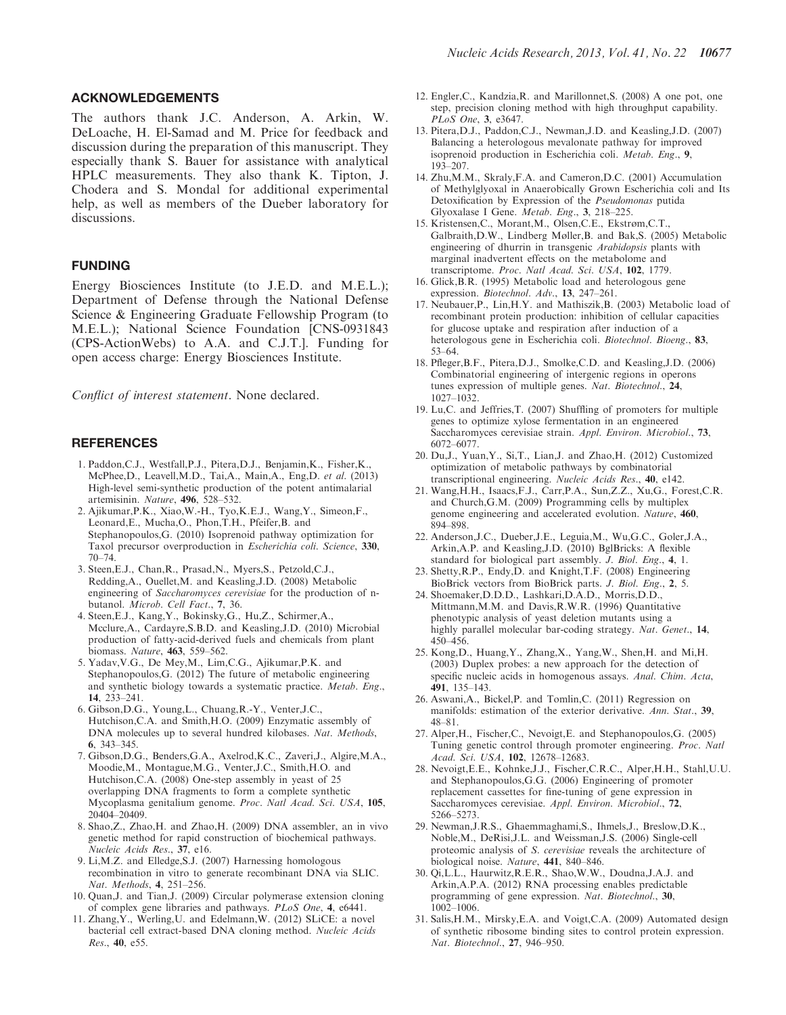#### <span id="page-9-0"></span>ACKNOWLEDGEMENTS

The authors thank J.C. Anderson, A. Arkin, W. DeLoache, H. El-Samad and M. Price for feedback and discussion during the preparation of this manuscript. They especially thank S. Bauer for assistance with analytical HPLC measurements. They also thank K. Tipton, J. Chodera and S. Mondal for additional experimental help, as well as members of the Dueber laboratory for discussions.

# FUNDING

Energy Biosciences Institute (to J.E.D. and M.E.L.); Department of Defense through the National Defense Science & Engineering Graduate Fellowship Program (to M.E.L.); National Science Foundation [CNS-0931843 (CPS-ActionWebs) to A.A. and C.J.T.]. Funding for open access charge: Energy Biosciences Institute.

Conflict of interest statement. None declared.

# **REFERENCES**

- 1. Paddon,C.J., Westfall,P.J., Pitera,D.J., Benjamin,K., Fisher,K., McPhee,D., Leavell,M.D., Tai,A., Main,A., Eng,D. et al. (2013) High-level semi-synthetic production of the potent antimalarial artemisinin. Nature, 496, 528–532.
- 2. Ajikumar,P.K., Xiao,W.-H., Tyo,K.E.J., Wang,Y., Simeon,F., Leonard,E., Mucha,O., Phon,T.H., Pfeifer,B. and Stephanopoulos,G. (2010) Isoprenoid pathway optimization for Taxol precursor overproduction in Escherichia coli. Science, 330, 70–74.
- 3. Steen,E.J., Chan,R., Prasad,N., Myers,S., Petzold,C.J., Redding,A., Ouellet,M. and Keasling,J.D. (2008) Metabolic engineering of Saccharomyces cerevisiae for the production of nbutanol. Microb. Cell Fact., 7, 36.
- 4. Steen,E.J., Kang,Y., Bokinsky,G., Hu,Z., Schirmer,A., Mcclure,A., Cardayre,S.B.D. and Keasling,J.D. (2010) Microbial production of fatty-acid-derived fuels and chemicals from plant biomass. Nature, 463, 559–562.
- 5. Yadav,V.G., De Mey,M., Lim,C.G., Ajikumar,P.K. and Stephanopoulos,G. (2012) The future of metabolic engineering and synthetic biology towards a systematic practice. Metab. Eng., 14, 233–241.
- 6. Gibson,D.G., Young,L., Chuang,R.-Y., Venter,J.C., Hutchison,C.A. and Smith,H.O. (2009) Enzymatic assembly of DNA molecules up to several hundred kilobases. Nat. Methods, 6, 343–345.
- 7. Gibson,D.G., Benders,G.A., Axelrod,K.C., Zaveri,J., Algire,M.A., Moodie,M., Montague,M.G., Venter,J.C., Smith,H.O. and Hutchison,C.A. (2008) One-step assembly in yeast of 25 overlapping DNA fragments to form a complete synthetic Mycoplasma genitalium genome. Proc. Natl Acad. Sci. USA, 105, 20404–20409.
- 8. Shao,Z., Zhao,H. and Zhao,H. (2009) DNA assembler, an in vivo genetic method for rapid construction of biochemical pathways. Nucleic Acids Res., 37, e16.
- 9. Li,M.Z. and Elledge,S.J. (2007) Harnessing homologous recombination in vitro to generate recombinant DNA via SLIC. Nat. Methods, 4, 251–256.
- 10. Quan,J. and Tian,J. (2009) Circular polymerase extension cloning of complex gene libraries and pathways. PLoS One, 4, e6441.
- 11. Zhang,Y., Werling,U. and Edelmann,W. (2012) SLiCE: a novel bacterial cell extract-based DNA cloning method. Nucleic Acids Res., 40, e55.
- 12. Engler,C., Kandzia,R. and Marillonnet,S. (2008) A one pot, one step, precision cloning method with high throughput capability. PLoS One, 3, e3647.
- 13. Pitera,D.J., Paddon,C.J., Newman,J.D. and Keasling,J.D. (2007) Balancing a heterologous mevalonate pathway for improved isoprenoid production in Escherichia coli. Metab. Eng., 9, 193–207.
- 14. Zhu,M.M., Skraly,F.A. and Cameron,D.C. (2001) Accumulation of Methylglyoxal in Anaerobically Grown Escherichia coli and Its Detoxification by Expression of the Pseudomonas putida Glyoxalase I Gene. Metab. Eng., 3, 218–225.
- 15. Kristensen,C., Morant,M., Olsen,C.E., Ekstrøm,C.T., Galbraith,D.W., Lindberg Møller,B. and Bak,S. (2005) Metabolic engineering of dhurrin in transgenic Arabidopsis plants with marginal inadvertent effects on the metabolome and transcriptome. Proc. Natl Acad. Sci. USA, 102, 1779.
- 16. Glick,B.R. (1995) Metabolic load and heterologous gene expression. Biotechnol. Adv., 13, 247–261.
- 17. Neubauer,P., Lin,H.Y. and Mathiszik,B. (2003) Metabolic load of recombinant protein production: inhibition of cellular capacities for glucose uptake and respiration after induction of a heterologous gene in Escherichia coli. Biotechnol. Bioeng., 83, 53–64.
- 18. Pfleger,B.F., Pitera,D.J., Smolke,C.D. and Keasling,J.D. (2006) Combinatorial engineering of intergenic regions in operons tunes expression of multiple genes. Nat. Biotechnol., 24, 1027–1032.
- 19. Lu,C. and Jeffries,T. (2007) Shuffling of promoters for multiple genes to optimize xylose fermentation in an engineered Saccharomyces cerevisiae strain. Appl. Environ. Microbiol., 73, 6072–6077.
- 20. Du,J., Yuan,Y., Si,T., Lian,J. and Zhao,H. (2012) Customized optimization of metabolic pathways by combinatorial transcriptional engineering. Nucleic Acids Res., 40, e142.
- 21. Wang,H.H., Isaacs,F.J., Carr,P.A., Sun,Z.Z., Xu,G., Forest,C.R. and Church,G.M. (2009) Programming cells by multiplex genome engineering and accelerated evolution. Nature, 460, 894–898.
- 22. Anderson,J.C., Dueber,J.E., Leguia,M., Wu,G.C., Goler,J.A., Arkin,A.P. and Keasling,J.D. (2010) BglBricks: A flexible standard for biological part assembly. J. Biol. Eng., 4, 1.
- 23. Shetty,R.P., Endy,D. and Knight,T.F. (2008) Engineering BioBrick vectors from BioBrick parts. J. Biol. Eng., 2, 5.
- 24. Shoemaker,D.D.D., Lashkari,D.A.D., Morris,D.D., Mittmann,M.M. and Davis,R.W.R. (1996) Quantitative phenotypic analysis of yeast deletion mutants using a highly parallel molecular bar-coding strategy. Nat. Genet., 14, 450–456.
- 25. Kong,D., Huang,Y., Zhang,X., Yang,W., Shen,H. and Mi,H. (2003) Duplex probes: a new approach for the detection of specific nucleic acids in homogenous assays. Anal. Chim. Acta, 491, 135–143.
- 26. Aswani,A., Bickel,P. and Tomlin,C. (2011) Regression on manifolds: estimation of the exterior derivative. Ann. Stat., 39, 48–81.
- 27. Alper,H., Fischer,C., Nevoigt,E. and Stephanopoulos,G. (2005) Tuning genetic control through promoter engineering. Proc. Natl Acad. Sci. USA, 102, 12678–12683.
- 28. Nevoigt,E.E., Kohnke,J.J., Fischer,C.R.C., Alper,H.H., Stahl,U.U. and Stephanopoulos,G.G. (2006) Engineering of promoter replacement cassettes for fine-tuning of gene expression in Saccharomyces cerevisiae. Appl. Environ. Microbiol., 72, 5266–5273.
- 29. Newman,J.R.S., Ghaemmaghami,S., Ihmels,J., Breslow,D.K., Noble,M., DeRisi,J.L. and Weissman,J.S. (2006) Single-cell proteomic analysis of S. cerevisiae reveals the architecture of biological noise. Nature, 441, 840–846.
- 30. Qi,L.L., Haurwitz,R.E.R., Shao,W.W., Doudna,J.A.J. and Arkin,A.P.A. (2012) RNA processing enables predictable programming of gene expression. Nat. Biotechnol., 30,  $1002 - 1006$
- 31. Salis,H.M., Mirsky,E.A. and Voigt,C.A. (2009) Automated design of synthetic ribosome binding sites to control protein expression. Nat. Biotechnol., 27, 946–950.